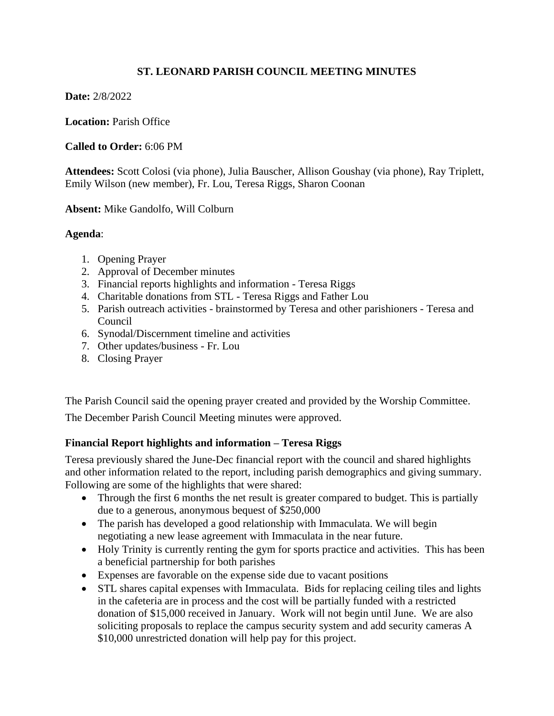# **ST. LEONARD PARISH COUNCIL MEETING MINUTES**

## **Date:** 2/8/2022

**Location:** Parish Office

### **Called to Order:** 6:06 PM

**Attendees:** Scott Colosi (via phone), Julia Bauscher, Allison Goushay (via phone), Ray Triplett, Emily Wilson (new member), Fr. Lou, Teresa Riggs, Sharon Coonan

#### **Absent:** Mike Gandolfo, Will Colburn

#### **Agenda**:

- 1. Opening Prayer
- 2. Approval of December minutes
- 3. Financial reports highlights and information Teresa Riggs
- 4. Charitable donations from STL Teresa Riggs and Father Lou
- 5. Parish outreach activities brainstormed by Teresa and other parishioners Teresa and Council
- 6. Synodal/Discernment timeline and activities
- 7. Other updates/business Fr. Lou
- 8. Closing Prayer

The Parish Council said the opening prayer created and provided by the Worship Committee.

The December Parish Council Meeting minutes were approved.

## **Financial Report highlights and information – Teresa Riggs**

Teresa previously shared the June-Dec financial report with the council and shared highlights and other information related to the report, including parish demographics and giving summary. Following are some of the highlights that were shared:

- Through the first 6 months the net result is greater compared to budget. This is partially due to a generous, anonymous bequest of \$250,000
- The parish has developed a good relationship with Immaculata. We will begin negotiating a new lease agreement with Immaculata in the near future.
- Holy Trinity is currently renting the gym for sports practice and activities. This has been a beneficial partnership for both parishes
- Expenses are favorable on the expense side due to vacant positions
- STL shares capital expenses with Immaculata. Bids for replacing ceiling tiles and lights in the cafeteria are in process and the cost will be partially funded with a restricted donation of \$15,000 received in January. Work will not begin until June. We are also soliciting proposals to replace the campus security system and add security cameras A \$10,000 unrestricted donation will help pay for this project.